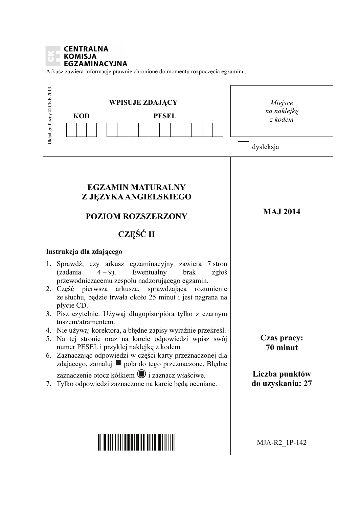#### **CENTRALNA KOMISJA EGZAMINACYJNA**

Arkusz zawiera informacje prawnie chronione do momentu rozpoczęcia egzaminu.

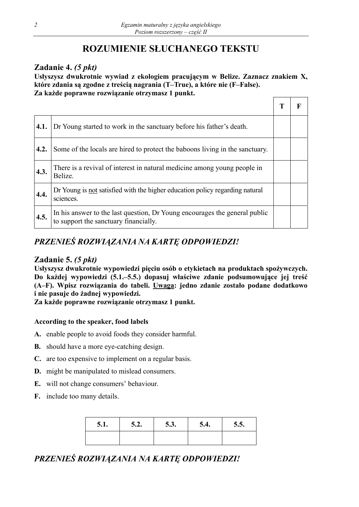# **ROZUMIENIE SŁUCHANEGO TEKSTU**

## **Zadanie 4.** *(5 pkt)*

**Usłyszysz dwukrotnie wywiad z ekologiem pracującym w Belize. Zaznacz znakiem X, które zdania są zgodne z treścią nagrania (T–True), a które nie (F–False). Za każde poprawne rozwiązanie otrzymasz 1 punkt.** 

| 4.1. | Dr Young started to work in the sanctuary before his father's death.                                                |  |
|------|---------------------------------------------------------------------------------------------------------------------|--|
| 4.2. | Some of the locals are hired to protect the baboons living in the sanctuary.                                        |  |
| 4.3. | There is a revival of interest in natural medicine among young people in<br>Belize.                                 |  |
| 4.4. | Dr Young is not satisfied with the higher education policy regarding natural<br>sciences.                           |  |
| 4.5. | In his answer to the last question, Dr Young encourages the general public<br>to support the sanctuary financially. |  |

# *PRZENIEŚ ROZWIĄZANIA NA KARTĘ ODPOWIEDZI!*

## **Zadanie 5.** *(5 pkt)*

**Usłyszysz dwukrotnie wypowiedzi pięciu osób o etykietach na produktach spożywczych. Do każdej wypowiedzi (5.1.–5.5.) dopasuj właściwe zdanie podsumowujące jej treść (A–F). Wpisz rozwiązania do tabeli. Uwaga: jedno zdanie zostało podane dodatkowo i nie pasuje do żadnej wypowiedzi.** 

**Za każde poprawne rozwiązanie otrzymasz 1 punkt.** 

### **According to the speaker, food labels**

- **A.** enable people to avoid foods they consider harmful.
- **B.** should have a more eye-catching design.
- **C.** are too expensive to implement on a regular basis.
- **D.** might be manipulated to mislead consumers.
- **E.** will not change consumers' behaviour.
- **F.** include too many details.

| 5.1. | 5.2. | 5.3. | 5.4. | 5.5. |
|------|------|------|------|------|
|      |      |      |      |      |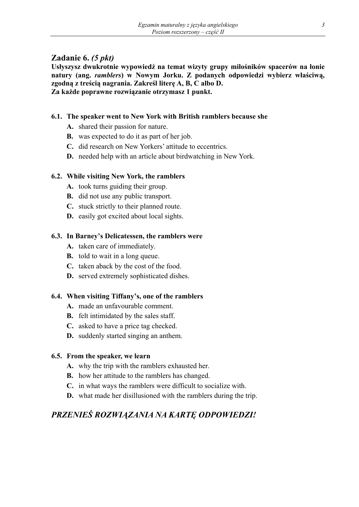## **Zadanie 6.** *(5 pkt)*

**Usłyszysz dwukrotnie wypowiedź na temat wizyty grupy miłośników spacerów na łonie natury (ang.** *ramblers***) w Nowym Jorku. Z podanych odpowiedzi wybierz właściwą, zgodną z treścią nagrania. Zakreśl literę A, B, C albo D. Za każde poprawne rozwiązanie otrzymasz 1 punkt.** 

## **6.1. The speaker went to New York with British ramblers because she**

- **A.** shared their passion for nature.
- **B.** was expected to do it as part of her job.
- **C.** did research on New Yorkers' attitude to eccentrics.
- **D.** needed help with an article about birdwatching in New York.

### **6.2. While visiting New York, the ramblers**

- **A.** took turns guiding their group.
- **B.** did not use any public transport.
- **C.** stuck strictly to their planned route.
- **D.** easily got excited about local sights.

### **6.3. In Barney's Delicatessen, the ramblers were**

- **A.** taken care of immediately.
- **B.** told to wait in a long queue.
- **C.** taken aback by the cost of the food.
- **D.** served extremely sophisticated dishes.

#### **6.4. When visiting Tiffany's, one of the ramblers**

- **A.** made an unfavourable comment.
- **B.** felt intimidated by the sales staff.
- **C.** asked to have a price tag checked.
- **D.** suddenly started singing an anthem.

#### **6.5. From the speaker, we learn**

- **A.** why the trip with the ramblers exhausted her.
- **B.** how her attitude to the ramblers has changed.
- **C.** in what ways the ramblers were difficult to socialize with.
- **D.** what made her disillusioned with the ramblers during the trip.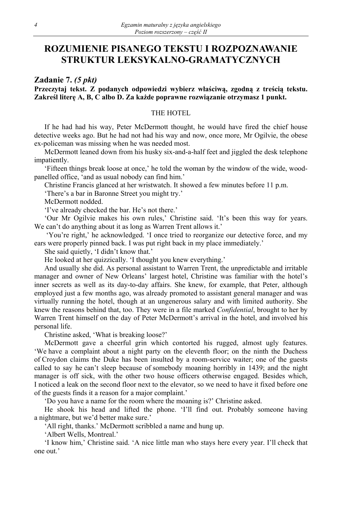# **ROZUMIENIE PISANEGO TEKSTU I ROZPOZNAWANIE STRUKTUR LEKSYKALNO-GRAMATYCZNYCH**

**Zadanie 7.** *(5 pkt)*

**Przeczytaj tekst. Z podanych odpowiedzi wybierz właściwą, zgodną z treścią tekstu. Zakreśl literę A, B, C albo D. Za każde poprawne rozwiązanie otrzymasz 1 punkt.** 

#### THE HOTEL

If he had had his way, Peter McDermott thought, he would have fired the chief house detective weeks ago. But he had not had his way and now, once more, Mr Ogilvie, the obese ex-policeman was missing when he was needed most.

McDermott leaned down from his husky six-and-a-half feet and jiggled the desk telephone impatiently.

'Fifteen things break loose at once,' he told the woman by the window of the wide, woodpanelled office, 'and as usual nobody can find him.'

Christine Francis glanced at her wristwatch. It showed a few minutes before 11 p.m.

'There's a bar in Baronne Street you might try.'

McDermott nodded.

'I've already checked the bar. He's not there.'

'Our Mr Ogilvie makes his own rules,' Christine said. 'It's been this way for years. We can't do anything about it as long as Warren Trent allows it.'

 'You're right,' he acknowledged. 'I once tried to reorganize our detective force, and my ears were properly pinned back. I was put right back in my place immediately.'

She said quietly, 'I didn't know that.'

He looked at her quizzically. 'I thought you knew everything.'

And usually she did. As personal assistant to Warren Trent, the unpredictable and irritable manager and owner of New Orleans' largest hotel, Christine was familiar with the hotel's inner secrets as well as its day-to-day affairs. She knew, for example, that Peter, although employed just a few months ago, was already promoted to assistant general manager and was virtually running the hotel, though at an ungenerous salary and with limited authority. She knew the reasons behind that, too. They were in a file marked *Confidential*, brought to her by Warren Trent himself on the day of Peter McDermott's arrival in the hotel, and involved his personal life.

Christine asked, 'What is breaking loose?'

McDermott gave a cheerful grin which contorted his rugged, almost ugly features. 'We have a complaint about a night party on the eleventh floor; on the ninth the Duchess of Croydon claims the Duke has been insulted by a room-service waiter; one of the guests called to say he can't sleep because of somebody moaning horribly in 1439; and the night manager is off sick, with the other two house officers otherwise engaged. Besides which, I noticed a leak on the second floor next to the elevator, so we need to have it fixed before one of the guests finds it a reason for a major complaint.'

'Do you have a name for the room where the moaning is?' Christine asked.

He shook his head and lifted the phone. 'I'll find out. Probably someone having a nightmare, but we'd better make sure.'

'All right, thanks.' McDermott scribbled a name and hung up.

'Albert Wells, Montreal.'

'I know him,' Christine said. 'A nice little man who stays here every year. I'll check that one out.'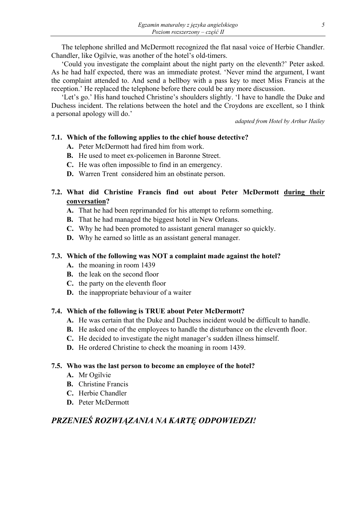The telephone shrilled and McDermott recognized the flat nasal voice of Herbie Chandler. Chandler, like Ogilvie, was another of the hotel's old-timers.

'Could you investigate the complaint about the night party on the eleventh?' Peter asked. As he had half expected, there was an immediate protest. 'Never mind the argument, I want the complaint attended to. And send a bellboy with a pass key to meet Miss Francis at the reception.' He replaced the telephone before there could be any more discussion.

'Let's go.' His hand touched Christine's shoulders slightly. 'I have to handle the Duke and Duchess incident. The relations between the hotel and the Croydons are excellent, so I think a personal apology will do.'

*adapted from Hotel by Arthur Hailey* 

### **7.1. Which of the following applies to the chief house detective?**

- **A.** Peter McDermott had fired him from work.
- **B.** He used to meet ex-policemen in Baronne Street.
- **C.** He was often impossible to find in an emergency.
- **D.** Warren Trent considered him an obstinate person.

## **7.2. What did Christine Francis find out about Peter McDermott during their conversation?**

- **A.** That he had been reprimanded for his attempt to reform something.
- **B.** That he had managed the biggest hotel in New Orleans.
- **C.** Why he had been promoted to assistant general manager so quickly.
- **D.** Why he earned so little as an assistant general manager.

## **7.3. Which of the following was NOT a complaint made against the hotel?**

- **A.** the moaning in room 1439
- **B.** the leak on the second floor
- **C.** the party on the eleventh floor
- **D.** the inappropriate behaviour of a waiter

## **7.4. Which of the following is TRUE about Peter McDermott?**

- **A.** He was certain that the Duke and Duchess incident would be difficult to handle.
- **B.** He asked one of the employees to handle the disturbance on the eleventh floor.
- **C.** He decided to investigate the night manager's sudden illness himself.
- **D.** He ordered Christine to check the moaning in room 1439.

### **7.5. Who was the last person to become an employee of the hotel?**

- **A.** Mr Ogilvie
- **B.** Christine Francis
- **C.** Herbie Chandler
- **D.** Peter McDermott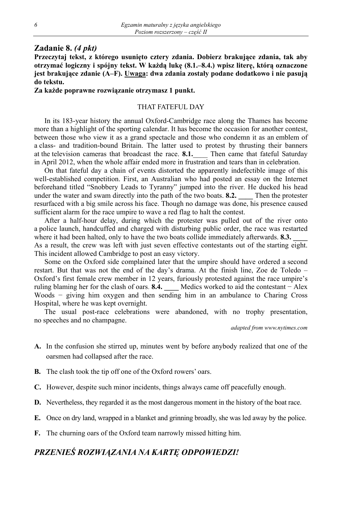### **Zadanie 8.** *(4 pkt)*

**Przeczytaj tekst, z którego usunięto cztery zdania. Dobierz brakujące zdania, tak aby otrzymać logiczny i spójny tekst. W każdą lukę (8.1.–8.4.) wpisz literę, którą oznaczone jest brakujące zdanie (A–F). Uwaga: dwa zdania zostały podane dodatkowo i nie pasują do tekstu.** 

#### **Za każde poprawne rozwiązanie otrzymasz 1 punkt.**

#### THAT FATEFUL DAY

In its 183-year history the annual Oxford-Cambridge race along the Thames has become more than a highlight of the sporting calendar. It has become the occasion for another contest, between those who view it as a grand spectacle and those who condemn it as an emblem of a class- and tradition-bound Britain. The latter used to protest by thrusting their banners at the television cameras that broadcast the race. **8.1.** Then came that fateful Saturday in April 2012, when the whole affair ended more in frustration and tears than in celebration.

On that fateful day a chain of events distorted the apparently indefectible image of this well-established competition. First, an Australian who had posted an essay on the Internet beforehand titled "Snobbery Leads to Tyranny" jumped into the river. He ducked his head under the water and swam directly into the path of the two boats. **8.2.** Then the protester resurfaced with a big smile across his face. Though no damage was done, his presence caused sufficient alarm for the race umpire to wave a red flag to halt the contest.

After a half-hour delay, during which the protester was pulled out of the river onto a police launch, handcuffed and charged with disturbing public order, the race was restarted where it had been halted, only to have the two boats collide immediately afterwards. **8.3.** As a result, the crew was left with just seven effective contestants out of the starting eight. This incident allowed Cambridge to post an easy victory.

Some on the Oxford side complained later that the umpire should have ordered a second restart. But that was not the end of the day's drama. At the finish line, Zoe de Toledo – Oxford's first female crew member in 12 years, furiously protested against the race umpire's ruling blaming her for the clash of oars. **8.4. \_\_\_\_** Medics worked to aid the contestant − Alex Woods – giving him oxygen and then sending him in an ambulance to Charing Cross Hospital, where he was kept overnight.

The usual post-race celebrations were abandoned, with no trophy presentation, no speeches and no champagne.

*adapted from www.nytimes.com* 

- **A.** In the confusion she stirred up, minutes went by before anybody realized that one of the oarsmen had collapsed after the race.
- **B.** The clash took the tip off one of the Oxford rowers' oars.
- **C.** However, despite such minor incidents, things always came off peacefully enough.
- **D.** Nevertheless, they regarded it as the most dangerous moment in the history of the boat race.
- **E.** Once on dry land, wrapped in a blanket and grinning broadly, she was led away by the police.
- **F.** The churning oars of the Oxford team narrowly missed hitting him.